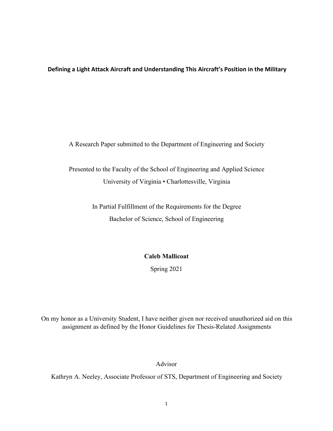**Defining a Light Attack Aircraft and Understanding This Aircraft's Position in the Military**

A Research Paper submitted to the Department of Engineering and Society

Presented to the Faculty of the School of Engineering and Applied Science University of Virginia • Charlottesville, Virginia

> In Partial Fulfillment of the Requirements for the Degree Bachelor of Science, School of Engineering

# **Caleb Mallicoat**

Spring 2021

On my honor as a University Student, I have neither given nor received unauthorized aid on this assignment as defined by the Honor Guidelines for Thesis-Related Assignments

Advisor

Kathryn A. Neeley, Associate Professor of STS, Department of Engineering and Society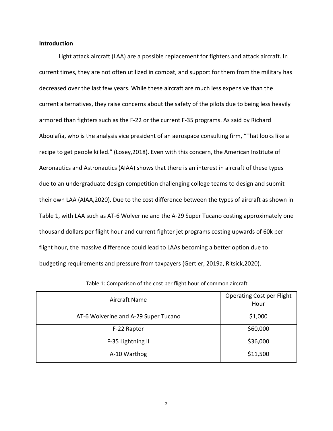# **Introduction**

Light attack aircraft (LAA) are a possible replacement for fighters and attack aircraft. In current times, they are not often utilized in combat, and support for them from the military has decreased over the last few years. While these aircraft are much less expensive than the current alternatives, they raise concerns about the safety of the pilots due to being less heavily armored than fighters such as the F-22 or the current F-35 programs. As said by Richard Aboulafia, who is the analysis vice president of an aerospace consulting firm, "That looks like a recipe to get people killed." (Losey,2018). Even with this concern, the American Institute of Aeronautics and Astronautics (AIAA) shows that there is an interest in aircraft of these types due to an undergraduate design competition challenging college teams to design and submit their own LAA (AIAA,2020). Due to the cost difference between the types of aircraft as shown in Table 1, with LAA such as AT-6 Wolverine and the A-29 Super Tucano costing approximately one thousand dollars per flight hour and current fighter jet programs costing upwards of 60k per flight hour, the massive difference could lead to LAAs becoming a better option due to budgeting requirements and pressure from taxpayers (Gertler, 2019a, Ritsick,2020).

| Aircraft Name                        | <b>Operating Cost per Flight</b><br>Hour |
|--------------------------------------|------------------------------------------|
| AT-6 Wolverine and A-29 Super Tucano | \$1,000                                  |
| F-22 Raptor                          | \$60,000                                 |
| F-35 Lightning II                    | \$36,000                                 |
| A-10 Warthog                         | \$11,500                                 |

Table 1: Comparison of the cost per flight hour of common aircraft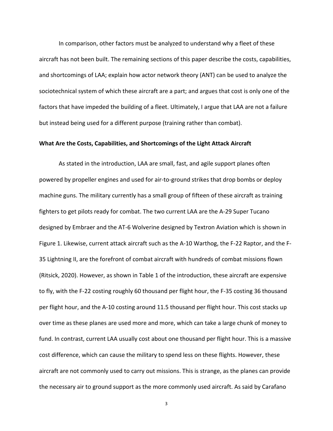In comparison, other factors must be analyzed to understand why a fleet of these aircraft has not been built. The remaining sections of this paper describe the costs, capabilities, and shortcomings of LAA; explain how actor network theory (ANT) can be used to analyze the sociotechnical system of which these aircraft are a part; and argues that cost is only one of the factors that have impeded the building of a fleet. Ultimately, I argue that LAA are not a failure but instead being used for a different purpose (training rather than combat).

# **What Are the Costs, Capabilities, and Shortcomings of the Light Attack Aircraft**

As stated in the introduction, LAA aresmall, fast, and agile support planes often powered by propeller engines and used for air-to-ground strikes that drop bombs or deploy machine guns. The military currently has a small group of fifteen of these aircraft as training fighters to get pilots ready for combat. The two current LAA arethe A-29 Super Tucano designed by Embraer and the AT-6 Wolverine designed by Textron Aviation which is shown in Figure 1. Likewise, current attack aircraft such as the A-10 Warthog, the F-22 Raptor, and the F- 35 Lightning II, are the forefront of combat aircraft with hundreds of combat missions flown (Ritsick, 2020). However, as shown in Table 1 of the introduction, these aircraft are expensive to fly, with the F-22 costing roughly 60 thousand per flight hour, the F-35 costing 36 thousand per flight hour, and the A-10 costing around 11.5 thousand per flight hour. This cost stacks up over time as these planes are used more and more, which can take a large chunk of money to fund. In contrast, current LAA usually cost about one thousand per flight hour. This is a massive cost difference, which can cause the military to spend less on these flights. However, these aircraft are not commonly used to carry out missions. This is strange, as the planes can provide the necessary air to ground support as the more commonly used aircraft. As said by Carafano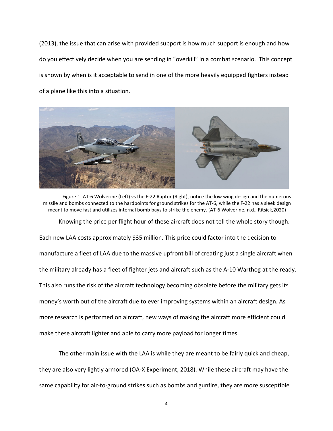(2013), the issue that can arise with provided support is how much support is enough and how do you effectively decide when you are sending in "overkill" in a combat scenario. This concept is shown by when is it acceptable to send in one of the more heavily equipped fighters instead of a plane like this into a situation.



Figure 1: AT-6 Wolverine (Left) vs the F-22 Raptor (Right), notice the low wing design and the numerous missile and bombs connected to the hardpoints for ground strikes for the AT-6, while the F-22 has a sleek design meant to move fast and utilizes internal bomb bays to strike the enemy. (AT-6 Wolverine, n.d., Ritsick,2020)

Knowing the price per flight hour of these aircraft does not tell the whole story though. Each new LAA costs approximately \$35 million. This price could factor into the decision to manufacture a fleet of LAA due to the massive upfront bill of creating just a single aircraft when the military already has a fleet of fighter jets and aircraft such as the A-10 Warthog at the ready. This also runs the risk of the aircraft technology becoming obsolete before the military gets its money's worth out of the aircraft due to ever improving systems within an aircraft design. As more research is performed on aircraft, new ways of making the aircraft more efficient could make these aircraft lighter and able to carry more payload for longer times.

The other main issue with the LAA is while they are meant to be fairly quick and cheap, they are also very lightly armored (OA-X Experiment, 2018). While these aircraft may have the same capability for air-to-ground strikes such as bombs and gunfire, they are more susceptible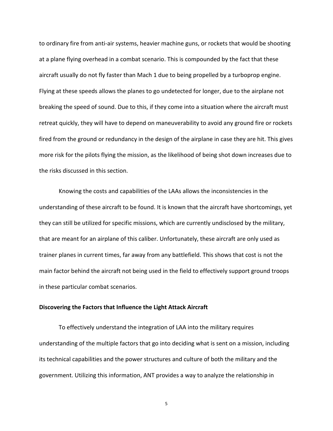to ordinary fire from anti-air systems, heavier machine guns, or rockets that would be shooting at a plane flying overhead in a combat scenario. This is compounded by the fact that these aircraft usually do not fly faster than Mach 1 due to being propelled by a turboprop engine. Flying at these speeds allows the planes to go undetected for longer, due to the airplane not breaking the speed of sound. Due to this, if they come into a situation where the aircraft must retreat quickly, they will have to depend on maneuverability to avoid any ground fire or rockets fired from the ground or redundancy in the design of the airplane in case they are hit. This gives more risk for the pilots flying the mission, as the likelihood of being shot down increases due to the risks discussed in this section.

Knowing the costs and capabilities of the LAAs allows the inconsistencies in the understanding of these aircraft to be found. It is known that the aircraft have shortcomings, yet they can still be utilized for specific missions, which are currently undisclosed by the military, that are meant for an airplane of this caliber. Unfortunately, these aircraft are only used as trainer planes in current times, far away from any battlefield. This shows that cost is not the main factor behind the aircraft not being used in the field to effectively support ground troops in these particular combat scenarios.

### **Discovering the Factors that Influence the Light Attack Aircraft**

To effectively understand the integration of LAA into the military requires understanding of the multiple factors that go into deciding what is sent on a mission, including its technical capabilities and the power structures and culture of both the military and the government. Utilizing this information, ANT provides a way to analyze the relationship in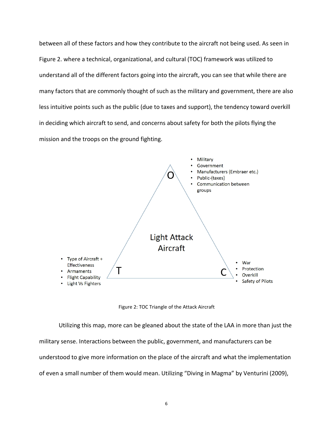between all of these factors and how they contribute to the aircraft not being used. As seen in Figure 2. where a technical, organizational, and cultural (TOC) framework was utilized to understand all of the different factors going into the aircraft, you can see that while there are many factors that are commonly thought of such as the military and government, there are also less intuitive points such as the public (due to taxes and support), the tendency toward overkill in deciding which aircraft to send, and concerns about safety for both the pilots flying the mission and the troops on the ground fighting.



Figure 2: TOC Triangle of the Attack Aircraft

Utilizing this map, more can be gleaned about the state of the LAA in more than just the military sense. Interactions between the public, government, and manufacturers can be understood to give more information on the place of the aircraft and what the implementation of even a small number of them would mean. Utilizing "Diving in Magma" by Venturini (2009),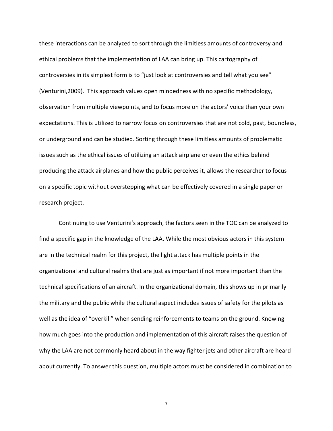these interactions can be analyzed to sort through the limitless amounts of controversy and ethical problems that the implementation of LAA can bring up. This cartography of controversies in its simplest form is to "just look at controversies and tell what you see" (Venturini,2009). This approach values open mindedness with no specific methodology, observation from multiple viewpoints, and to focus more on the actors' voice than your own expectations. This is utilized to narrow focus on controversies that are not cold, past, boundless, or underground and can be studied. Sorting through these limitless amounts of problematic issues such as the ethical issues of utilizing an attack airplane or even the ethics behind producing the attack airplanes and how the public perceives it, allows the researcher to focus on a specific topic without overstepping what can be effectively covered in a single paper or research project.

Continuing to use Venturini's approach, the factors seen in the TOC can be analyzed to find a specific gap in the knowledge of the LAA. While the most obvious actors in this system are in the technical realm for this project, the light attack has multiple points in the organizational and cultural realms that are just as important if not more important than the technical specifications of an aircraft. In the organizational domain, this shows up in primarily the military and the public while the cultural aspect includes issues of safety for the pilots as well as the idea of "overkill" when sending reinforcements to teams on the ground. Knowing how much goes into the production and implementation of this aircraft raises the question of why the LAA are not commonly heard about in the way fighter jets and other aircraft are heard about currently. To answer this question, multiple actors must be considered in combination to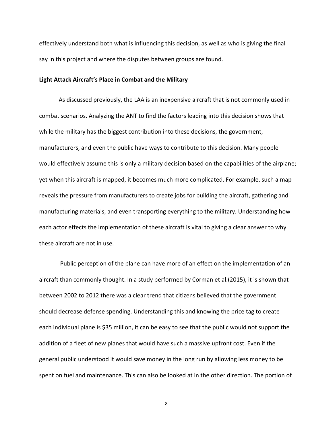effectively understand both what is influencing this decision, as well as who is giving the final say in this project and where the disputes between groups are found.

## **Light Attack Aircraft's Place in Combat and the Military**

As discussed previously, the LAA is an inexpensive aircraft that is not commonly used in combat scenarios. Analyzing the ANT to find the factors leading into this decision shows that while the military has the biggest contribution into these decisions, the government, manufacturers, and even the public have ways to contribute to this decision. Many people would effectively assume this is only a military decision based on the capabilities of the airplane; yet when this aircraft is mapped, it becomes much more complicated. For example, such a map reveals the pressure from manufacturers to create jobs for building the aircraft, gathering and manufacturing materials, and even transporting everything to the military. Understanding how each actor effects the implementation of these aircraft is vital to giving a clear answer to why these aircraft are not in use.

Public perception of the plane can have more of an effect on the implementation of an aircraft than commonly thought. In a study performed by Corman et al.(2015), it is shown that between 2002 to 2012 there was a clear trend that citizens believed that the government should decrease defense spending. Understanding this and knowing the price tag to create each individual plane is \$35 million, it can be easy to see that the public would not support the addition of a fleet of new planes that would have such a massive upfront cost. Even if the general public understood it would save money in the long run by allowing less money to be spent on fuel and maintenance. This can also be looked at in the other direction. The portion of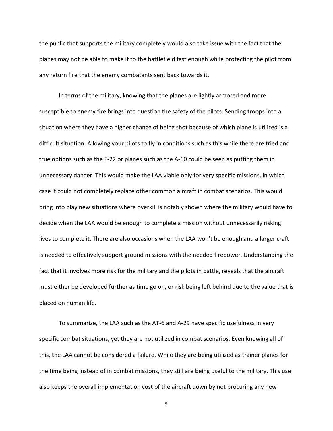the public that supports the military completely would also take issue with the fact that the planes may not be able to make it to the battlefield fast enough while protecting the pilot from any return fire that the enemy combatants sent back towards it.

In terms of the military, knowing that the planes are lightly armored and more susceptible to enemy fire brings into question the safety of the pilots. Sending troops into a situation where they have a higher chance of being shot because of which plane is utilized is a difficult situation. Allowing your pilots to fly in conditions such as this while there are tried and true options such as the F-22 or planes such as the A-10 could be seen as putting them in unnecessary danger. This would make the LAA viable only for very specific missions, in which case it could not completely replace other common aircraft in combat scenarios. This would bring into play new situations where overkill is notably shown where the military would have to decide when the LAA would be enough to complete a mission without unnecessarily risking lives to complete it. There are also occasions when the LAA won't be enough and a larger craft is needed to effectively support ground missions with the needed firepower. Understanding the fact that it involves more risk for the military and the pilots in battle, reveals that the aircraft must either be developed further as time go on, or risk being left behind due to the value that is placed on human life.

To summarize, the LAA such as the AT-6 and A-29 have specific usefulness in very specific combat situations, yet they are not utilized in combat scenarios. Even knowing all of this, the LAA cannot be considered a failure. While they are being utilized as trainer planes for the time being instead of in combat missions, they still are being useful to the military.This use also keeps the overall implementation cost of the aircraft down by not procuring any new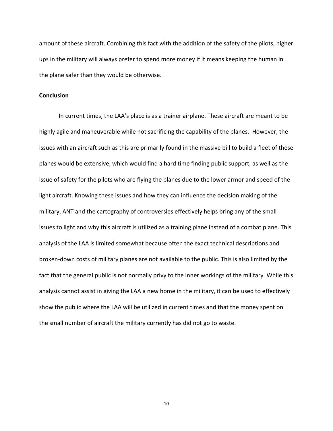amount of these aircraft. Combining this fact with the addition of the safety of the pilots, higher ups in the military will always prefer to spend more money if it means keeping the human in the plane safer than they would be otherwise.

# **Conclusion**

In current times, the LAA's place is as a trainer airplane. These aircraft are meant to be highly agile and maneuverable while not sacrificing the capability of the planes. However, the issues with an aircraft such as this are primarily found in the massive bill to build a fleet of these planes would be extensive, which would find a hard time finding public support, as well as the issue of safety for the pilots who are flying the planes due to the lower armor and speed of the light aircraft. Knowing these issues and how they can influence the decision making of the military, ANT and the cartography of controversies effectively helps bring any of the small issues to light and why this aircraft is utilized as a training plane instead of a combat plane. This analysis of the LAA is limited somewhat because often the exact technical descriptions and broken-down costs of military planes are not available to the public. This is also limited by the fact that the general public is not normally privy to the inner workings of the military. While this analysis cannot assist in giving the LAA a new home in the military, it can be used to effectively show the public where the LAA will be utilized in current times and that the money spent on the small number of aircraft the military currently has did not go to waste.